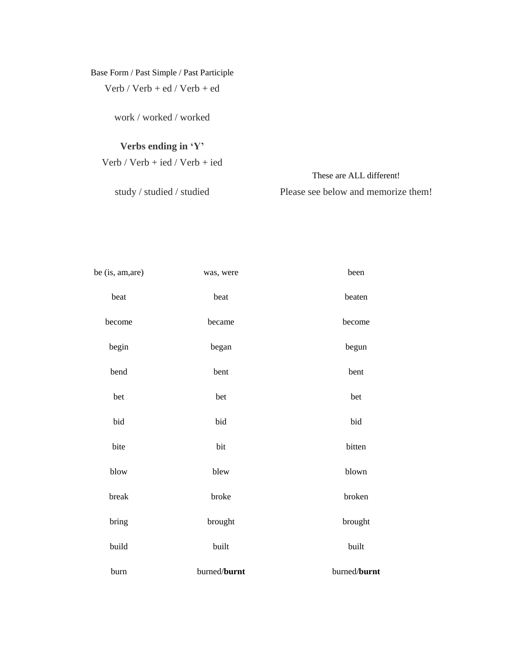## Base Form / Past Simple / Past Participle Verb / Verb + ed / Verb + ed

work / worked / worked

## **Verbs ending in 'Y'**

Verb / Verb + ied / Verb + ied

study / studied / studied

These are ALL different! Please see below and memorize them!

| be (is, am, are) | was, were    | been         |
|------------------|--------------|--------------|
| beat             | beat         | beaten       |
| become           | became       | become       |
| begin            | began        | begun        |
| bend             | bent         | bent         |
| bet              | bet          | bet          |
| bid              | bid          | bid          |
| bite             | bit          | bitten       |
| blow             | blew         | blown        |
| break            | broke        | broken       |
| bring            | brought      | brought      |
| build            | built        | built        |
| burn             | burned/burnt | burned/burnt |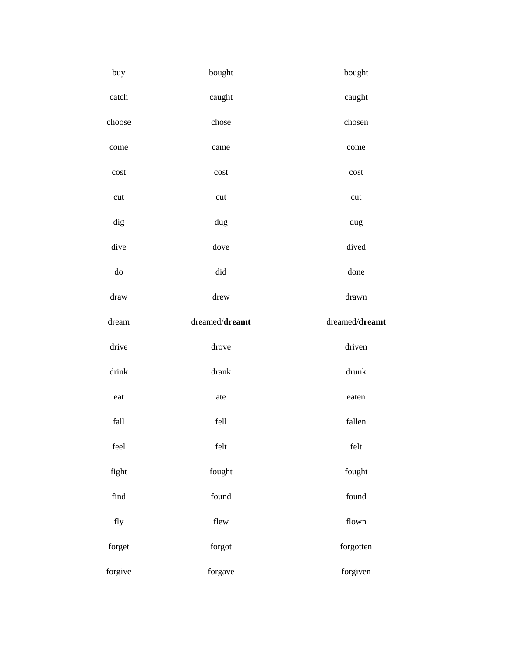| buy                       | bought                    | bought                 |
|---------------------------|---------------------------|------------------------|
| catch                     | caught                    | caught                 |
| choose                    | chose                     | chosen                 |
| come                      | came                      | come                   |
| $\mathop{\text{cost}}$    | cost                      | $\mathop{\text{cost}}$ |
| $\ensuremath{\text{cut}}$ | $\ensuremath{\text{cut}}$ | cut                    |
| dig                       | dug                       | dug                    |
| dive                      | dove                      | dived                  |
| ${\rm do}$                | did                       | done                   |
| ${\rm draw}$              | drew                      | ${\rm drawn}$          |
| $d$ ream                  | dreamed/dreamt            | dreamed/dreamt         |
|                           |                           |                        |
| drive                     | drove                     | driven                 |
| drink                     | $\text{drank}$            | drunk                  |
| eat                       | ate                       | eaten                  |
| $\operatorname{fall}$     | fell                      | fallen                 |
| $\,$ feel                 | $\operatorname{felt}$     | $\operatorname{felt}$  |
| fight                     | fought                    | fought                 |
| $\operatorname{find}$     | found                     | $\operatorname{found}$ |
| fly                       | flew                      | flown                  |
| ${\rm forget}$            | ${\rm for} {\rm got}$     | forgotten              |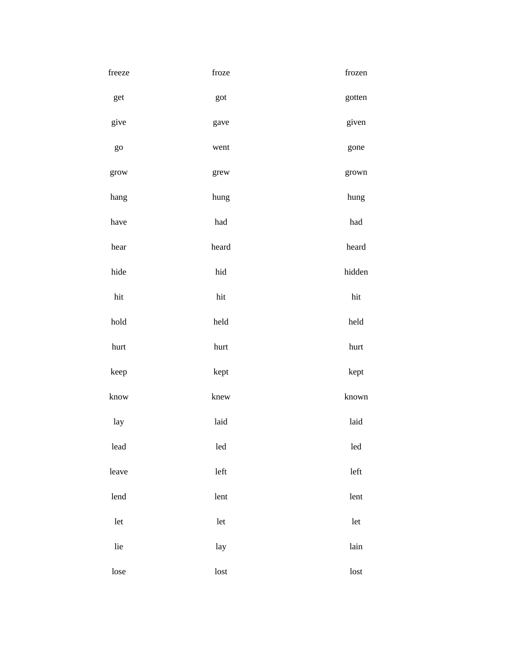| freeze | froze        | frozen |
|--------|--------------|--------|
| get    | got          | gotten |
| give   | gave         | given  |
| go     | went         | gone   |
| grow   | grew         | grown  |
| hang   | hung         | hung   |
| have   | $\hbox{had}$ | had    |
| hear   | heard        | heard  |
| hide   | hid          | hidden |
| hit    | hit          | hit    |
| hold   | held         | held   |
| hurt   | hurt         | hurt   |
| keep   | kept         | kept   |
| know   | knew         | known  |
| lay    | laid         | laid   |
| lead   | led          | led    |
| leave  | left         | left   |
| lend   | lent         | lent   |
| let    | let          | let    |
| lie    | lay          | lain   |
| lose   | lost         | lost   |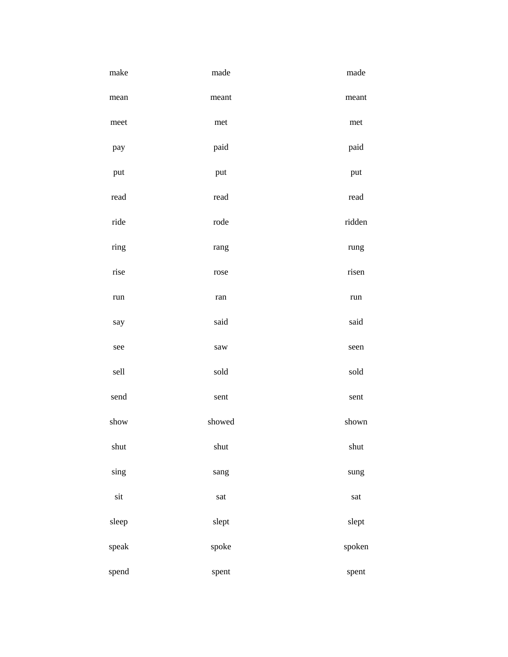| make  | made                 | made   |
|-------|----------------------|--------|
| mean  | meant                | meant  |
| meet  | met                  | met    |
| pay   | paid                 | paid   |
| put   | put                  | put    |
| read  | read                 | read   |
| ride  | rode                 | ridden |
| ring  | rang                 | rung   |
| rise  | rose                 | risen  |
| run   | ${\rm ran}$          | run    |
| say   | said                 | said   |
| see   | $\mbox{sa} \mbox{w}$ | seen   |
| sell  | sold                 | sold   |
| send  | sent                 | sent   |
| show  | showed               | shown  |
| shut  | shut                 | shut   |
| sing  | sang                 | sung   |
| sit   | sat                  | sat    |
| sleep | slept                | slept  |
| speak | spoke                | spoken |
| spend | spent                | spent  |